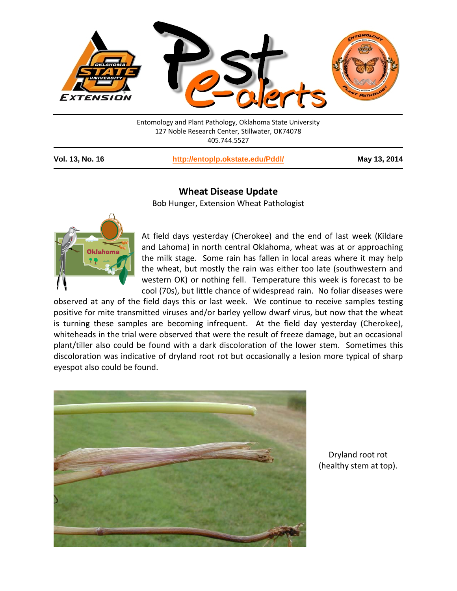

Entomology and Plant Pathology, Oklahoma State University 127 Noble Research Center, Stillwater, OK74078 405.744.5527

**Vol. 13, No. 16 <http://entoplp.okstate.edu/Pddl/> May 13, 2014**

## **Wheat Disease Update**

Bob Hunger, Extension Wheat Pathologist



At field days yesterday (Cherokee) and the end of last week (Kildare and Lahoma) in north central Oklahoma, wheat was at or approaching the milk stage. Some rain has fallen in local areas where it may help the wheat, but mostly the rain was either too late (southwestern and western OK) or nothing fell. Temperature this week is forecast to be cool (70s), but little chance of widespread rain. No foliar diseases were

observed at any of the field days this or last week. We continue to receive samples testing positive for mite transmitted viruses and/or barley yellow dwarf virus, but now that the wheat is turning these samples are becoming infrequent. At the field day yesterday (Cherokee), whiteheads in the trial were observed that were the result of freeze damage, but an occasional plant/tiller also could be found with a dark discoloration of the lower stem. Sometimes this discoloration was indicative of dryland root rot but occasionally a lesion more typical of sharp eyespot also could be found.



Dryland root rot (healthy stem at top).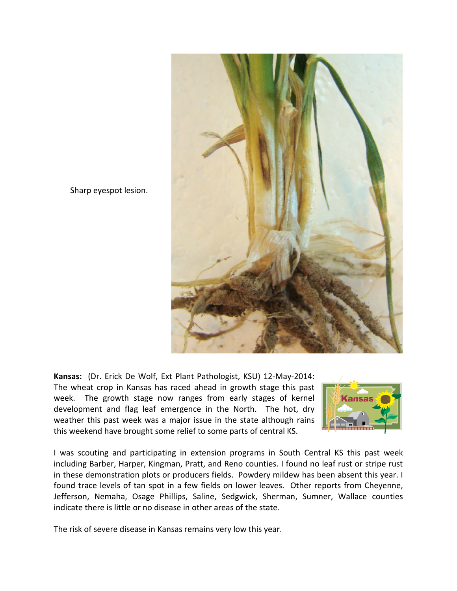

Sharp eyespot lesion.

**Kansas:** (Dr. Erick De Wolf, Ext Plant Pathologist, KSU) 12-May-2014: The wheat crop in Kansas has raced ahead in growth stage this past week. The growth stage now ranges from early stages of kernel development and flag leaf emergence in the North. The hot, dry weather this past week was a major issue in the state although rains this weekend have brought some relief to some parts of central KS.



I was scouting and participating in extension programs in South Central KS this past week including Barber, Harper, Kingman, Pratt, and Reno counties. I found no leaf rust or stripe rust in these demonstration plots or producers fields. Powdery mildew has been absent this year. I found trace levels of tan spot in a few fields on lower leaves. Other reports from Cheyenne, Jefferson, Nemaha, Osage Phillips, Saline, Sedgwick, Sherman, Sumner, Wallace counties indicate there is little or no disease in other areas of the state.

The risk of severe disease in Kansas remains very low this year.